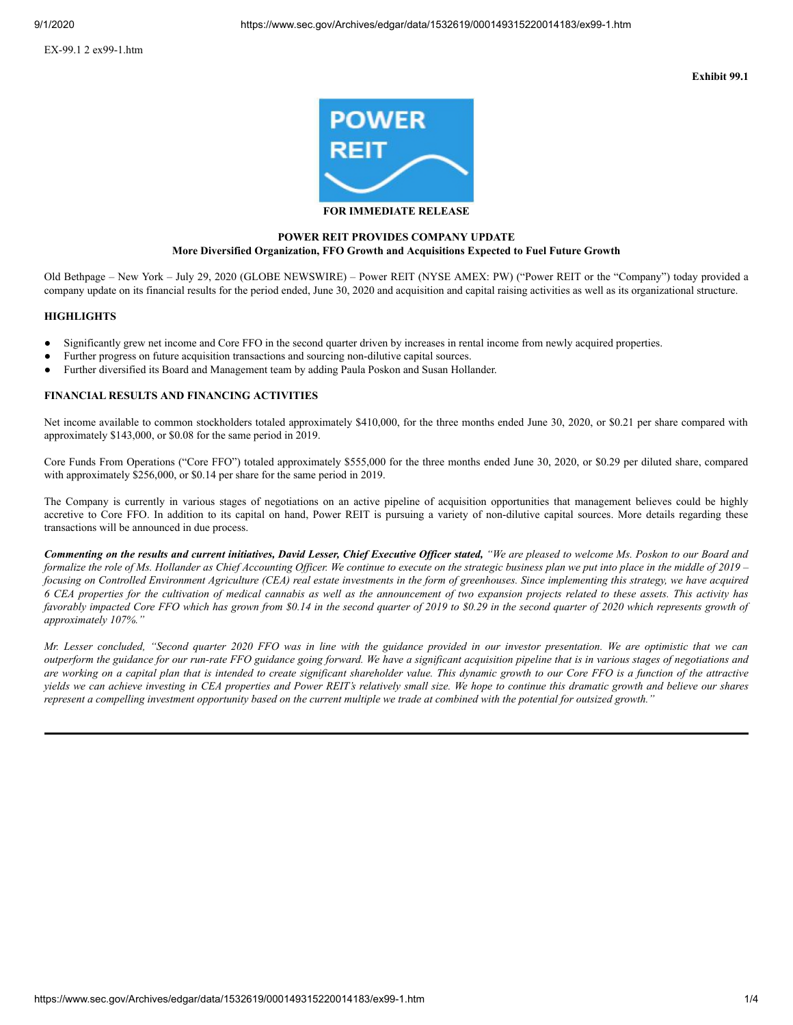EX-99.1 2 ex99-1.htm

**Exhibit 99.1**



# **POWER REIT PROVIDES COMPANY UPDATE More Diversified Organization, FFO Growth and Acquisitions Expected to Fuel Future Growth**

Old Bethpage – New York – July 29, 2020 (GLOBE NEWSWIRE) – Power REIT (NYSE AMEX: PW) ("Power REIT or the "Company") today provided a company update on its financial results for the period ended, June 30, 2020 and acquisition and capital raising activities as well as its organizational structure.

#### **HIGHLIGHTS**

- Significantly grew net income and Core FFO in the second quarter driven by increases in rental income from newly acquired properties.
- Further progress on future acquisition transactions and sourcing non-dilutive capital sources.
- Further diversified its Board and Management team by adding Paula Poskon and Susan Hollander.

## **FINANCIAL RESULTS AND FINANCING ACTIVITIES**

Net income available to common stockholders totaled approximately \$410,000, for the three months ended June 30, 2020, or \$0.21 per share compared with approximately \$143,000, or \$0.08 for the same period in 2019.

Core Funds From Operations ("Core FFO") totaled approximately \$555,000 for the three months ended June 30, 2020, or \$0.29 per diluted share, compared with approximately \$256,000, or \$0.14 per share for the same period in 2019.

The Company is currently in various stages of negotiations on an active pipeline of acquisition opportunities that management believes could be highly accretive to Core FFO. In addition to its capital on hand, Power REIT is pursuing a variety of non-dilutive capital sources. More details regarding these transactions will be announced in due process.

Commenting on the results and current initiatives, David Lesser, Chief Executive Officer stated, "We are pleased to welcome Ms. Poskon to our Board and formalize the role of Ms. Hollander as Chief Accounting Officer. We continue to execute on the strategic business plan we put into place in the middle of 2019 – focusing on Controlled Environment Agriculture (CEA) real estate investments in the form of greenhouses. Since implementing this strategy, we have acquired 6 CEA properties for the cultivation of medical cannabis as well as the announcement of two expansion projects related to these assets. This activity has favorably impacted Core FFO which has grown from \$0.14 in the second quarter of 2019 to \$0.29 in the second quarter of 2020 which represents growth of *approximately 107%."*

Mr. Lesser concluded, "Second quarter 2020 FFO was in line with the guidance provided in our investor presentation. We are optimistic that we can outperform the guidance for our run-rate FFO guidance going forward. We have a significant acquisition pipeline that is in various stages of negotiations and are working on a capital plan that is intended to create significant shareholder value. This dynamic growth to our Core FFO is a function of the attractive yields we can achieve investing in CEA properties and Power REIT's relatively small size. We hope to continue this dramatic growth and believe our shares represent a compelling investment opportunity based on the current multiple we trade at combined with the potential for outsized growth."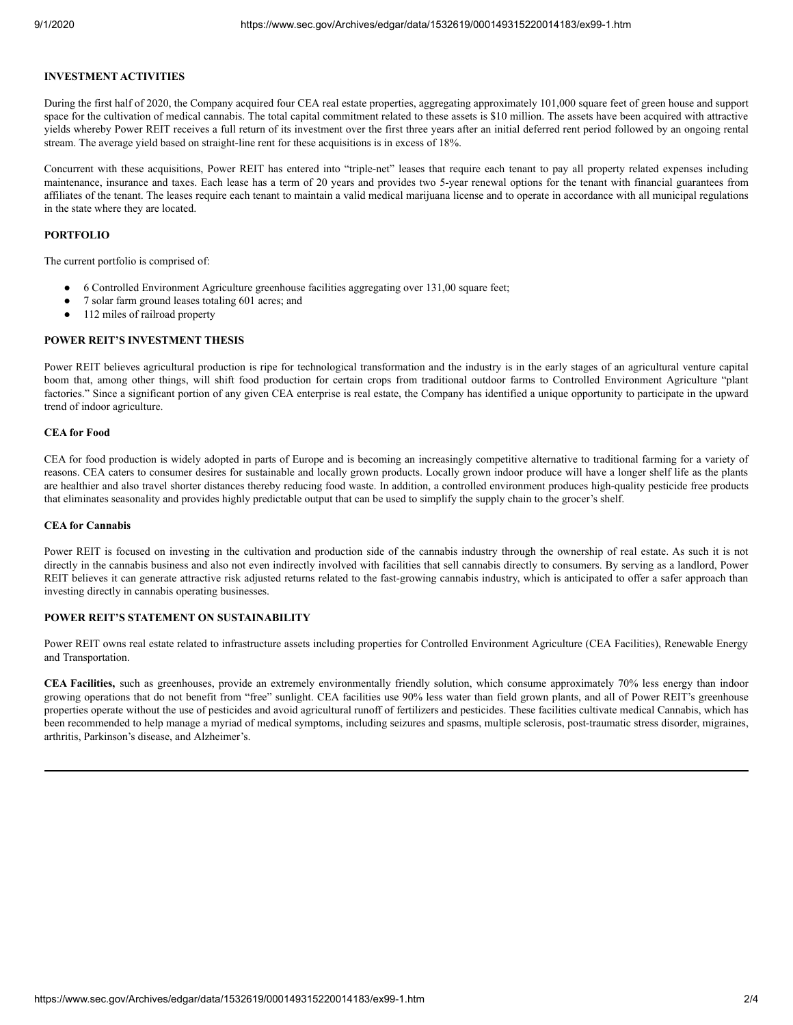## **INVESTMENT ACTIVITIES**

During the first half of 2020, the Company acquired four CEA real estate properties, aggregating approximately 101,000 square feet of green house and support space for the cultivation of medical cannabis. The total capital commitment related to these assets is \$10 million. The assets have been acquired with attractive yields whereby Power REIT receives a full return of its investment over the first three years after an initial deferred rent period followed by an ongoing rental stream. The average yield based on straight-line rent for these acquisitions is in excess of 18%.

Concurrent with these acquisitions, Power REIT has entered into "triple-net" leases that require each tenant to pay all property related expenses including maintenance, insurance and taxes. Each lease has a term of 20 years and provides two 5-year renewal options for the tenant with financial guarantees from affiliates of the tenant. The leases require each tenant to maintain a valid medical marijuana license and to operate in accordance with all municipal regulations in the state where they are located.

#### **PORTFOLIO**

The current portfolio is comprised of:

- 6 Controlled Environment Agriculture greenhouse facilities aggregating over 131,00 square feet;
- 7 solar farm ground leases totaling 601 acres; and
- 112 miles of railroad property

## **POWER REIT'S INVESTMENT THESIS**

Power REIT believes agricultural production is ripe for technological transformation and the industry is in the early stages of an agricultural venture capital boom that, among other things, will shift food production for certain crops from traditional outdoor farms to Controlled Environment Agriculture "plant factories." Since a significant portion of any given CEA enterprise is real estate, the Company has identified a unique opportunity to participate in the upward trend of indoor agriculture.

#### **CEA for Food**

CEA for food production is widely adopted in parts of Europe and is becoming an increasingly competitive alternative to traditional farming for a variety of reasons. CEA caters to consumer desires for sustainable and locally grown products. Locally grown indoor produce will have a longer shelf life as the plants are healthier and also travel shorter distances thereby reducing food waste. In addition, a controlled environment produces high-quality pesticide free products that eliminates seasonality and provides highly predictable output that can be used to simplify the supply chain to the grocer's shelf.

#### **CEA for Cannabis**

Power REIT is focused on investing in the cultivation and production side of the cannabis industry through the ownership of real estate. As such it is not directly in the cannabis business and also not even indirectly involved with facilities that sell cannabis directly to consumers. By serving as a landlord, Power REIT believes it can generate attractive risk adjusted returns related to the fast-growing cannabis industry, which is anticipated to offer a safer approach than investing directly in cannabis operating businesses.

#### **POWER REIT'S STATEMENT ON SUSTAINABILITY**

Power REIT owns real estate related to infrastructure assets including properties for Controlled Environment Agriculture (CEA Facilities), Renewable Energy and Transportation.

**CEA Facilities,** such as greenhouses, provide an extremely environmentally friendly solution, which consume approximately 70% less energy than indoor growing operations that do not benefit from "free" sunlight. CEA facilities use 90% less water than field grown plants, and all of Power REIT's greenhouse properties operate without the use of pesticides and avoid agricultural runoff of fertilizers and pesticides. These facilities cultivate medical Cannabis, which has been recommended to help manage a myriad of medical symptoms, including seizures and spasms, multiple sclerosis, post-traumatic stress disorder, migraines, arthritis, Parkinson's disease, and Alzheimer's.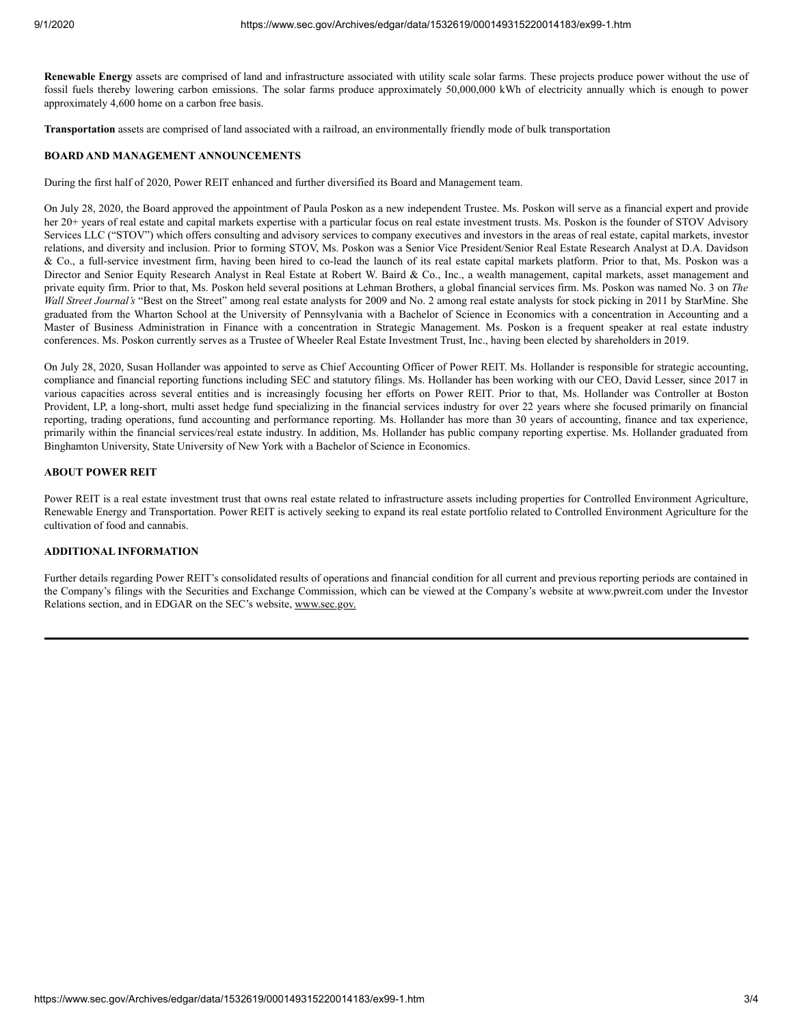**Renewable Energy** assets are comprised of land and infrastructure associated with utility scale solar farms. These projects produce power without the use of fossil fuels thereby lowering carbon emissions. The solar farms produce approximately 50,000,000 kWh of electricity annually which is enough to power approximately 4,600 home on a carbon free basis.

**Transportation** assets are comprised of land associated with a railroad, an environmentally friendly mode of bulk transportation

#### **BOARD AND MANAGEMENT ANNOUNCEMENTS**

During the first half of 2020, Power REIT enhanced and further diversified its Board and Management team.

On July 28, 2020, the Board approved the appointment of Paula Poskon as a new independent Trustee. Ms. Poskon will serve as a financial expert and provide her 20+ years of real estate and capital markets expertise with a particular focus on real estate investment trusts. Ms. Poskon is the founder of STOV Advisory Services LLC ("STOV") which offers consulting and advisory services to company executives and investors in the areas of real estate, capital markets, investor relations, and diversity and inclusion. Prior to forming STOV, Ms. Poskon was a Senior Vice President/Senior Real Estate Research Analyst at D.A. Davidson & Co., a full-service investment firm, having been hired to co-lead the launch of its real estate capital markets platform. Prior to that, Ms. Poskon was a Director and Senior Equity Research Analyst in Real Estate at Robert W. Baird & Co., Inc., a wealth management, capital markets, asset management and private equity firm. Prior to that, Ms. Poskon held several positions at Lehman Brothers, a global financial services firm. Ms. Poskon was named No. 3 on *The Wall Street Journal's* "Best on the Street" among real estate analysts for 2009 and No. 2 among real estate analysts for stock picking in 2011 by StarMine. She graduated from the Wharton School at the University of Pennsylvania with a Bachelor of Science in Economics with a concentration in Accounting and a Master of Business Administration in Finance with a concentration in Strategic Management. Ms. Poskon is a frequent speaker at real estate industry conferences. Ms. Poskon currently serves as a Trustee of Wheeler Real Estate Investment Trust, Inc., having been elected by shareholders in 2019.

On July 28, 2020, Susan Hollander was appointed to serve as Chief Accounting Officer of Power REIT. Ms. Hollander is responsible for strategic accounting, compliance and financial reporting functions including SEC and statutory filings. Ms. Hollander has been working with our CEO, David Lesser, since 2017 in various capacities across several entities and is increasingly focusing her efforts on Power REIT. Prior to that, Ms. Hollander was Controller at Boston Provident, LP, a long-short, multi asset hedge fund specializing in the financial services industry for over 22 years where she focused primarily on financial reporting, trading operations, fund accounting and performance reporting. Ms. Hollander has more than 30 years of accounting, finance and tax experience, primarily within the financial services/real estate industry. In addition, Ms. Hollander has public company reporting expertise. Ms. Hollander graduated from Binghamton University, State University of New York with a Bachelor of Science in Economics.

## **ABOUT POWER REIT**

Power REIT is a real estate investment trust that owns real estate related to infrastructure assets including properties for Controlled Environment Agriculture, Renewable Energy and Transportation. Power REIT is actively seeking to expand its real estate portfolio related to Controlled Environment Agriculture for the cultivation of food and cannabis.

## **ADDITIONAL INFORMATION**

Further details regarding Power REIT's consolidated results of operations and financial condition for all current and previous reporting periods are contained in the Company's filings with the Securities and Exchange Commission, which can be viewed at the Company's website at www.pwreit.com under the Investor Relations section, and in EDGAR on the SEC's website, www.sec.gov.